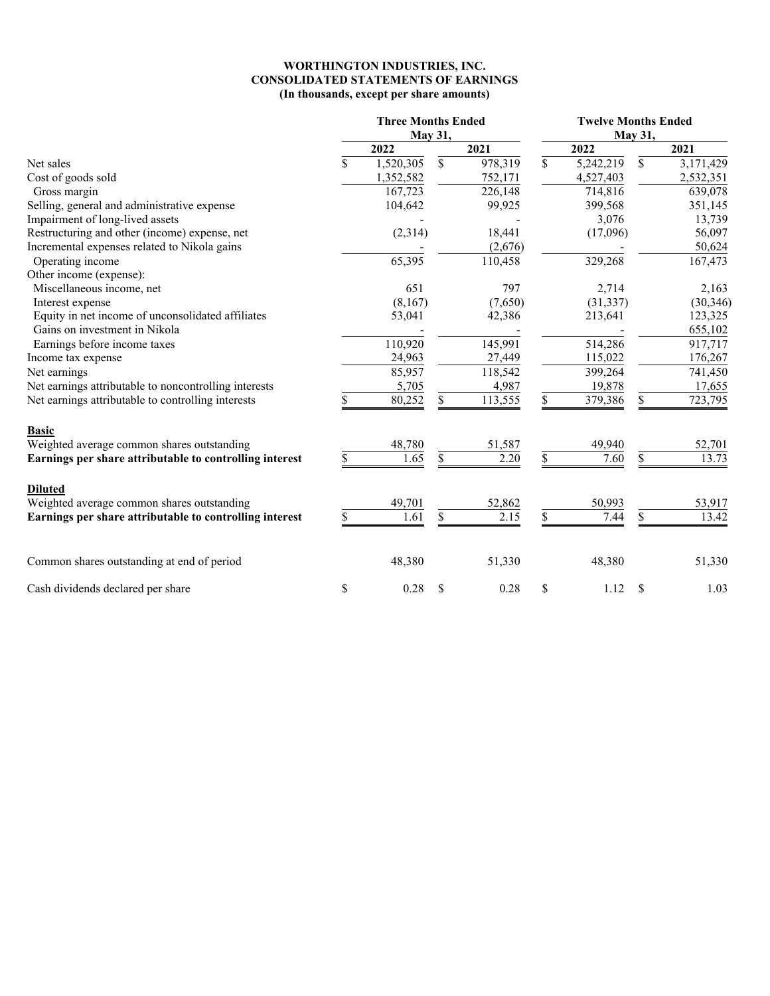## **WORTHINGTON INDUSTRIES, INC. CONSOLIDATED STATEMENTS OF EARNINGS (In thousands, except per share amounts)**

|                                                         | <b>Three Months Ended</b><br>May 31, |              |         | <b>Twelve Months Ended</b><br>May 31, |    |           |  |  |  |  |
|---------------------------------------------------------|--------------------------------------|--------------|---------|---------------------------------------|----|-----------|--|--|--|--|
|                                                         | 2022                                 |              | 2021    | 2022                                  |    | 2021      |  |  |  |  |
| Net sales                                               | \$<br>1,520,305                      | S            | 978,319 | \$<br>5,242,219                       | \$ | 3,171,429 |  |  |  |  |
| Cost of goods sold                                      | 1,352,582                            |              | 752,171 | 4,527,403                             |    | 2,532,351 |  |  |  |  |
| Gross margin                                            | 167,723                              |              | 226,148 | 714,816                               |    | 639,078   |  |  |  |  |
| Selling, general and administrative expense             | 104,642                              |              | 99,925  | 399,568                               |    | 351,145   |  |  |  |  |
| Impairment of long-lived assets                         |                                      |              |         | 3,076                                 |    | 13,739    |  |  |  |  |
| Restructuring and other (income) expense, net           | (2,314)                              |              | 18,441  | (17,096)                              |    | 56,097    |  |  |  |  |
| Incremental expenses related to Nikola gains            |                                      |              | (2,676) |                                       |    | 50,624    |  |  |  |  |
| Operating income                                        | 65,395                               |              | 110,458 | 329,268                               |    | 167,473   |  |  |  |  |
| Other income (expense):                                 |                                      |              |         |                                       |    |           |  |  |  |  |
| Miscellaneous income, net                               | 651                                  |              | 797     | 2,714                                 |    | 2,163     |  |  |  |  |
| Interest expense                                        | (8,167)                              |              | (7,650) | (31, 337)                             |    | (30, 346) |  |  |  |  |
| Equity in net income of unconsolidated affiliates       | 53,041                               |              | 42,386  | 213,641                               |    | 123,325   |  |  |  |  |
| Gains on investment in Nikola                           |                                      |              |         |                                       |    | 655,102   |  |  |  |  |
| Earnings before income taxes                            | 110,920                              |              | 145,991 | 514,286                               |    | 917,717   |  |  |  |  |
| Income tax expense                                      | 24,963                               |              | 27,449  | 115,022                               |    | 176,267   |  |  |  |  |
| Net earnings                                            | 85,957                               |              | 118,542 | 399,264                               |    | 741,450   |  |  |  |  |
| Net earnings attributable to noncontrolling interests   | 5,705                                |              | 4,987   | 19,878                                |    | 17,655    |  |  |  |  |
| Net earnings attributable to controlling interests      | 80,252                               |              | 113,555 | 379,386                               | \$ | 723,795   |  |  |  |  |
| <b>Basic</b>                                            |                                      |              |         |                                       |    |           |  |  |  |  |
| Weighted average common shares outstanding              | 48,780                               |              | 51,587  | 49,940                                |    | 52,701    |  |  |  |  |
| Earnings per share attributable to controlling interest | \$<br>1.65                           | \$           | 2.20    | 7.60                                  | \$ | 13.73     |  |  |  |  |
| <b>Diluted</b>                                          |                                      |              |         |                                       |    |           |  |  |  |  |
| Weighted average common shares outstanding              | 49,701                               |              | 52,862  | 50,993                                |    | 53,917    |  |  |  |  |
| Earnings per share attributable to controlling interest | 1.61                                 |              | 2.15    | 7.44                                  | \$ | 13.42     |  |  |  |  |
| Common shares outstanding at end of period              | 48,380                               |              | 51,330  | 48,380                                |    | 51,330    |  |  |  |  |
| Cash dividends declared per share                       | \$<br>0.28                           | <sup>S</sup> | 0.28    | \$<br>1.12                            | S  | 1.03      |  |  |  |  |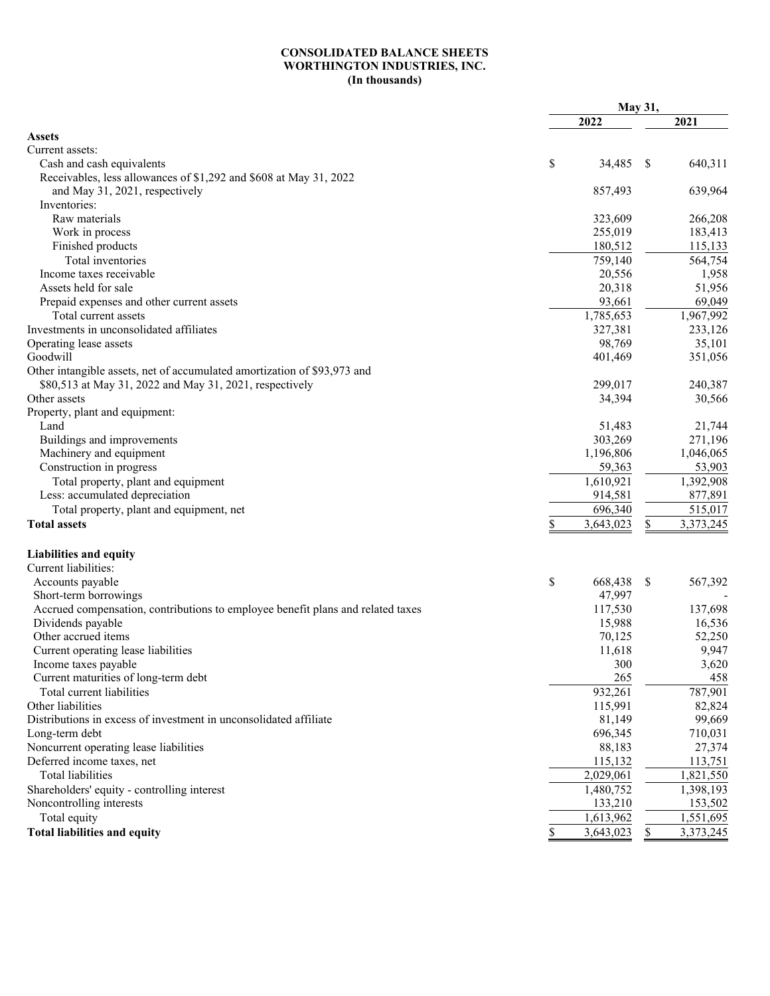## **CONSOLIDATED BALANCE SHEETS WORTHINGTON INDUSTRIES, INC. (In thousands)**

|                                                                                 |    |           | May 31, |           |  |
|---------------------------------------------------------------------------------|----|-----------|---------|-----------|--|
|                                                                                 |    | 2022      |         | 2021      |  |
| <b>Assets</b>                                                                   |    |           |         |           |  |
| Current assets:                                                                 |    |           |         |           |  |
| Cash and cash equivalents                                                       | \$ | 34,485    | S       | 640,311   |  |
| Receivables, less allowances of \$1,292 and \$608 at May 31, 2022               |    |           |         |           |  |
| and May 31, 2021, respectively                                                  |    | 857,493   |         | 639,964   |  |
| Inventories:                                                                    |    |           |         |           |  |
| Raw materials                                                                   |    | 323,609   |         | 266,208   |  |
| Work in process                                                                 |    | 255,019   |         | 183,413   |  |
| Finished products                                                               |    | 180,512   |         | 115,133   |  |
| Total inventories                                                               |    | 759,140   |         | 564,754   |  |
| Income taxes receivable                                                         |    | 20,556    |         | 1,958     |  |
| Assets held for sale                                                            |    | 20,318    |         | 51,956    |  |
| Prepaid expenses and other current assets                                       |    | 93,661    |         | 69,049    |  |
| Total current assets                                                            |    | 1,785,653 |         | 1,967,992 |  |
| Investments in unconsolidated affiliates                                        |    | 327,381   |         | 233,126   |  |
| Operating lease assets                                                          |    | 98,769    |         | 35,101    |  |
| Goodwill                                                                        |    | 401,469   |         | 351,056   |  |
| Other intangible assets, net of accumulated amortization of \$93,973 and        |    |           |         |           |  |
| \$80,513 at May 31, 2022 and May 31, 2021, respectively                         |    | 299,017   |         | 240,387   |  |
| Other assets                                                                    |    | 34,394    |         | 30,566    |  |
| Property, plant and equipment:                                                  |    |           |         |           |  |
| Land                                                                            |    | 51,483    |         | 21,744    |  |
| Buildings and improvements                                                      |    | 303,269   |         | 271,196   |  |
| Machinery and equipment                                                         |    | 1,196,806 |         | 1,046,065 |  |
|                                                                                 |    |           |         |           |  |
| Construction in progress                                                        |    | 59,363    |         | 53,903    |  |
| Total property, plant and equipment                                             |    | 1,610,921 |         | 1,392,908 |  |
| Less: accumulated depreciation                                                  |    | 914,581   |         | 877,891   |  |
| Total property, plant and equipment, net                                        |    | 696,340   |         | 515,017   |  |
| <b>Total assets</b>                                                             |    | 3,643,023 | \$      | 3,373,245 |  |
| <b>Liabilities and equity</b>                                                   |    |           |         |           |  |
| Current liabilities:                                                            |    |           |         |           |  |
| Accounts payable                                                                | \$ | 668,438   | \$      | 567,392   |  |
| Short-term borrowings                                                           |    | 47,997    |         |           |  |
| Accrued compensation, contributions to employee benefit plans and related taxes |    | 117,530   |         | 137,698   |  |
| Dividends payable                                                               |    | 15,988    |         | 16,536    |  |
| Other accrued items                                                             |    | 70,125    |         | 52,250    |  |
| Current operating lease liabilities                                             |    | 11,618    |         | 9,947     |  |
| Income taxes payable                                                            |    | 300       |         | 3,620     |  |
| Current maturities of long-term debt                                            |    | 265       |         | 458       |  |
| Total current liabilities                                                       |    | 932,261   |         | 787,901   |  |
| Other liabilities                                                               |    | 115,991   |         | 82,824    |  |
| Distributions in excess of investment in unconsolidated affiliate               |    | 81,149    |         | 99,669    |  |
| Long-term debt                                                                  |    | 696,345   |         | 710,031   |  |
| Noncurrent operating lease liabilities                                          |    | 88,183    |         | 27,374    |  |
| Deferred income taxes, net                                                      |    | 115,132   |         | 113,751   |  |
| Total liabilities                                                               |    | 2,029,061 |         | 1,821,550 |  |
| Shareholders' equity - controlling interest                                     |    | 1,480,752 |         | 1,398,193 |  |
| Noncontrolling interests                                                        |    | 133,210   |         | 153,502   |  |
| Total equity                                                                    |    | 1,613,962 |         | 1,551,695 |  |
| <b>Total liabilities and equity</b>                                             |    |           |         | 3,373,245 |  |
|                                                                                 | S  | 3,643,023 | \$      |           |  |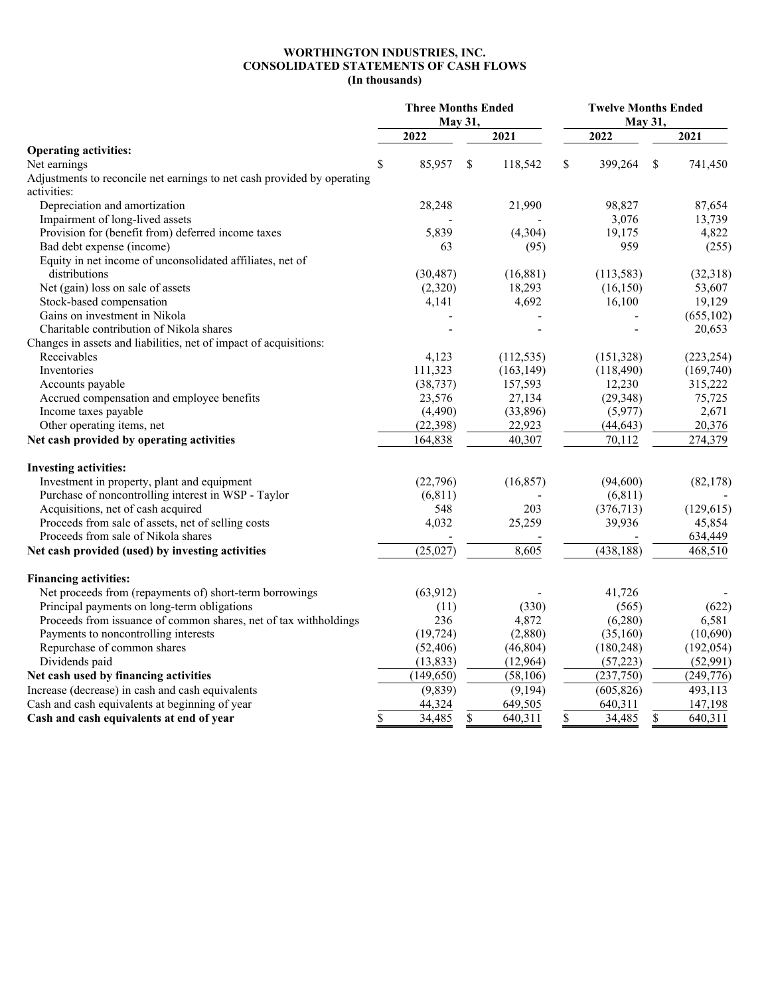## **WORTHINGTON INDUSTRIES, INC. CONSOLIDATED STATEMENTS OF CASH FLOWS (In thousands)**

|                                                                         | <b>Three Months Ended</b><br>May 31, |            |    |            | <b>Twelve Months Ended</b><br>May 31, |               |  |
|-------------------------------------------------------------------------|--------------------------------------|------------|----|------------|---------------------------------------|---------------|--|
|                                                                         |                                      | 2022       |    | 2021       | 2022                                  | 2021          |  |
| <b>Operating activities:</b>                                            |                                      |            |    |            |                                       |               |  |
| Net earnings                                                            | \$                                   | 85,957     | \$ | 118,542    | \$<br>399,264                         | \$<br>741,450 |  |
| Adjustments to reconcile net earnings to net cash provided by operating |                                      |            |    |            |                                       |               |  |
| activities:                                                             |                                      |            |    |            |                                       |               |  |
| Depreciation and amortization                                           |                                      | 28,248     |    | 21,990     | 98,827                                | 87,654        |  |
| Impairment of long-lived assets                                         |                                      |            |    |            | 3,076                                 | 13,739        |  |
| Provision for (benefit from) deferred income taxes                      |                                      | 5,839      |    | (4,304)    | 19,175                                | 4,822         |  |
| Bad debt expense (income)                                               |                                      | 63         |    | (95)       | 959                                   | (255)         |  |
| Equity in net income of unconsolidated affiliates, net of               |                                      |            |    |            |                                       |               |  |
| distributions                                                           |                                      | (30, 487)  |    | (16, 881)  | (113, 583)                            | (32,318)      |  |
| Net (gain) loss on sale of assets                                       |                                      | (2,320)    |    | 18,293     | (16, 150)                             | 53,607        |  |
| Stock-based compensation                                                |                                      | 4,141      |    | 4,692      | 16,100                                | 19,129        |  |
| Gains on investment in Nikola                                           |                                      |            |    |            |                                       | (655, 102)    |  |
| Charitable contribution of Nikola shares                                |                                      |            |    |            |                                       | 20,653        |  |
| Changes in assets and liabilities, net of impact of acquisitions:       |                                      |            |    |            |                                       |               |  |
| Receivables                                                             |                                      | 4,123      |    | (112, 535) | (151, 328)                            | (223, 254)    |  |
| Inventories                                                             |                                      | 111,323    |    | (163, 149) | (118, 490)                            | (169,740)     |  |
| Accounts payable                                                        |                                      | (38, 737)  |    | 157,593    | 12,230                                | 315,222       |  |
| Accrued compensation and employee benefits                              |                                      | 23,576     |    | 27,134     | (29, 348)                             | 75,725        |  |
| Income taxes payable                                                    |                                      | (4, 490)   |    | (33,896)   | (5,977)                               | 2,671         |  |
| Other operating items, net                                              |                                      | (22, 398)  |    | 22,923     | (44, 643)                             | 20,376        |  |
| Net cash provided by operating activities                               |                                      | 164,838    |    | 40,307     | 70,112                                | 274,379       |  |
| <b>Investing activities:</b>                                            |                                      |            |    |            |                                       |               |  |
| Investment in property, plant and equipment                             |                                      | (22,796)   |    | (16, 857)  | (94,600)                              | (82, 178)     |  |
| Purchase of noncontrolling interest in WSP - Taylor                     |                                      | (6, 811)   |    |            | (6, 811)                              |               |  |
| Acquisitions, net of cash acquired                                      |                                      | 548        |    | 203        | (376, 713)                            | (129, 615)    |  |
| Proceeds from sale of assets, net of selling costs                      |                                      | 4,032      |    | 25,259     | 39,936                                | 45,854        |  |
| Proceeds from sale of Nikola shares                                     |                                      |            |    |            |                                       | 634,449       |  |
| Net cash provided (used) by investing activities                        |                                      | (25, 027)  |    | 8,605      | (438, 188)                            | 468,510       |  |
| <b>Financing activities:</b>                                            |                                      |            |    |            |                                       |               |  |
| Net proceeds from (repayments of) short-term borrowings                 |                                      | (63, 912)  |    |            | 41,726                                |               |  |
| Principal payments on long-term obligations                             |                                      | (11)       |    | (330)      | (565)                                 | (622)         |  |
| Proceeds from issuance of common shares, net of tax withholdings        |                                      | 236        |    | 4,872      | (6,280)                               | 6,581         |  |
| Payments to noncontrolling interests                                    |                                      | (19, 724)  |    | (2,880)    | (35,160)                              | (10,690)      |  |
| Repurchase of common shares                                             |                                      | (52, 406)  |    | (46, 804)  | (180, 248)                            | (192, 054)    |  |
| Dividends paid                                                          |                                      | (13, 833)  |    | (12, 964)  | (57, 223)                             | (52,991)      |  |
| Net cash used by financing activities                                   |                                      | (149, 650) |    | (58, 106)  | (237,750)                             | (249,776)     |  |
|                                                                         |                                      |            |    |            |                                       | 493,113       |  |
| Increase (decrease) in cash and cash equivalents                        |                                      | (9, 839)   |    | (9,194)    | (605, 826)                            |               |  |
| Cash and cash equivalents at beginning of year                          |                                      | 44,324     |    | 649,505    | 640,311                               | 147,198       |  |
| Cash and cash equivalents at end of year                                | \$                                   | 34,485     | \$ | 640,311    | \$<br>34,485                          | \$<br>640,311 |  |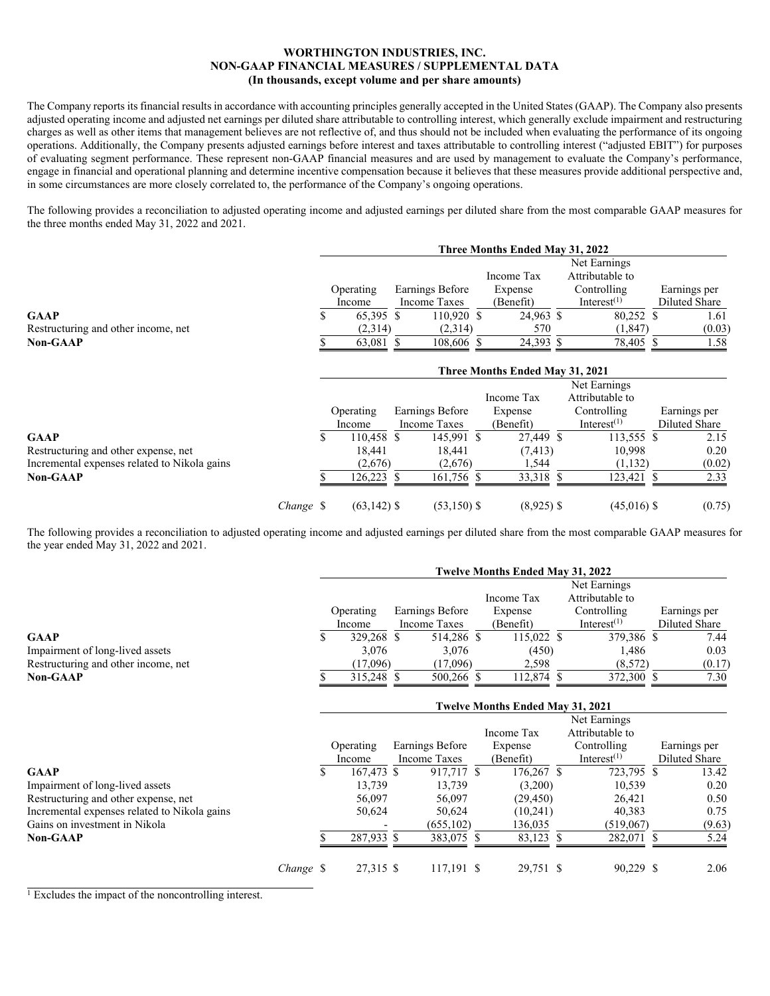## **WORTHINGTON INDUSTRIES, INC. NON-GAAP FINANCIAL MEASURES / SUPPLEMENTAL DATA (In thousands, except volume and per share amounts)**

The Company reports its financial results in accordance with accounting principles generally accepted in the United States (GAAP). The Company also presents adjusted operating income and adjusted net earnings per diluted share attributable to controlling interest, which generally exclude impairment and restructuring charges as well as other items that management believes are not reflective of, and thus should not be included when evaluating the performance of its ongoing operations. Additionally, the Company presents adjusted earnings before interest and taxes attributable to controlling interest ("adjusted EBIT") for purposes of evaluating segment performance. These represent non-GAAP financial measures and are used by management to evaluate the Company's performance, engage in financial and operational planning and determine incentive compensation because it believes that these measures provide additional perspective and, in some circumstances are more closely correlated to, the performance of the Company's ongoing operations.

The following provides a reconciliation to adjusted operating income and adjusted earnings per diluted share from the most comparable GAAP measures for the three months ended May 31, 2022 and 2021.

|                                     | Three Months Ended May 31, 2022 |              |                 |           |            |             |                 |  |               |  |  |  |
|-------------------------------------|---------------------------------|--------------|-----------------|-----------|------------|-------------|-----------------|--|---------------|--|--|--|
|                                     |                                 |              |                 |           |            |             | Net Earnings    |  |               |  |  |  |
|                                     |                                 |              |                 |           | Income Tax |             | Attributable to |  |               |  |  |  |
|                                     | Operating                       |              | Earnings Before |           | Expense    | Controlling |                 |  | Earnings per  |  |  |  |
|                                     | Income                          | Income Taxes |                 | (Benefit) |            |             | Interest $(1)$  |  | Diluted Share |  |  |  |
| <b>GAAP</b>                         | 65.395 \$                       |              | 110,920 \$      |           | 24,963 \$  |             | 80,252 \$       |  | 1.61          |  |  |  |
| Restructuring and other income, net | (2,314)                         |              | (2,314)         |           | 570        |             | (1, 847)        |  | (0.03)        |  |  |  |
| <b>Non-GAAP</b>                     | 63,081 \$                       |              | 108,606 \$      |           | 24,393 \$  |             | 78,405 \$       |  | 1.58          |  |  |  |
|                                     |                                 |              |                 |           |            |             |                 |  |               |  |  |  |

|                                              |           | Three Months Ended May 31, 2021 |                |  |                 |              |  |                 |  |               |  |  |
|----------------------------------------------|-----------|---------------------------------|----------------|--|-----------------|--------------|--|-----------------|--|---------------|--|--|
|                                              |           |                                 |                |  |                 |              |  | Net Earnings    |  |               |  |  |
|                                              |           |                                 |                |  |                 | Income Tax   |  | Attributable to |  |               |  |  |
|                                              |           |                                 | Operating      |  | Earnings Before | Expense      |  | Controlling     |  | Earnings per  |  |  |
|                                              |           |                                 | Income         |  | Income Taxes    | (Benefit)    |  | Interest $(1)$  |  | Diluted Share |  |  |
| <b>GAAP</b>                                  |           | ۰D                              | 110.458 \$     |  | 145,991 \$      | 27,449 \$    |  | 113,555 \$      |  | 2.15          |  |  |
| Restructuring and other expense, net         |           |                                 | 18.441         |  | 18.441          | (7, 413)     |  | 10.998          |  | 0.20          |  |  |
| Incremental expenses related to Nikola gains |           |                                 | (2,676)        |  | (2,676)         | 1,544        |  | (1,132)         |  | (0.02)        |  |  |
| <b>Non-GAAP</b>                              |           |                                 | 126,223 \$     |  | 161,756 \$      | 33,318 \$    |  | 123,421 \$      |  | 2.33          |  |  |
|                                              | Change \$ |                                 | $(63, 142)$ \$ |  | $(53,150)$ \$   | $(8,925)$ \$ |  | $(45,016)$ \$   |  | (0.75)        |  |  |

The following provides a reconciliation to adjusted operating income and adjusted earnings per diluted share from the most comparable GAAP measures for the year ended May 31, 2022 and 2021.

|                                     | Twelve Months Ended May 31, 2022 |            |  |                 |  |            |  |                 |  |               |  |
|-------------------------------------|----------------------------------|------------|--|-----------------|--|------------|--|-----------------|--|---------------|--|
|                                     |                                  |            |  |                 |  |            |  | Net Earnings    |  |               |  |
|                                     |                                  |            |  |                 |  | Income Tax |  | Attributable to |  |               |  |
|                                     |                                  | Operating  |  | Earnings Before |  | Expense    |  | Controlling     |  | Earnings per  |  |
|                                     |                                  | Income     |  | Income Taxes    |  | (Benefit)  |  | Interest $(1)$  |  | Diluted Share |  |
| <b>GAAP</b>                         |                                  | 329,268 \$ |  | 514.286 \$      |  | 115,022 \$ |  | 379,386 \$      |  | 7.44          |  |
| Impairment of long-lived assets     |                                  | 3.076      |  | 3.076           |  | (450)      |  | 1.486           |  | 0.03          |  |
| Restructuring and other income, net |                                  | (17,096)   |  | (17,096)        |  | 2.598      |  | (8,572)         |  | (0.17)        |  |
| <b>Non-GAAP</b>                     |                                  | 315,248 \$ |  | 500,266 \$      |  | 112,874 \$ |  | 372,300 \$      |  | 7.30          |  |

**Twelve Months Ended May 31, 2021** 

|                                              |           | Twelve Months Ended May 31, 2021 |            |  |                 |  |              |  |                 |  |               |
|----------------------------------------------|-----------|----------------------------------|------------|--|-----------------|--|--------------|--|-----------------|--|---------------|
|                                              |           |                                  |            |  |                 |  |              |  | Net Earnings    |  |               |
|                                              |           |                                  |            |  |                 |  | Income Tax   |  | Attributable to |  |               |
|                                              |           | Operating                        |            |  | Earnings Before |  | Expense      |  | Controlling     |  | Earnings per  |
|                                              |           |                                  | Income     |  | Income Taxes    |  | (Benefit)    |  | Interest $(1)$  |  | Diluted Share |
| <b>GAAP</b>                                  |           | Ъ.                               | 167,473 \$ |  | 917,717 \$      |  | $176,267$ \$ |  | 723,795 \$      |  | 13.42         |
| Impairment of long-lived assets              |           |                                  | 13.739     |  | 13.739          |  | (3,200)      |  | 10,539          |  | 0.20          |
| Restructuring and other expense, net         |           |                                  | 56,097     |  | 56,097          |  | (29, 450)    |  | 26,421          |  | 0.50          |
| Incremental expenses related to Nikola gains |           |                                  | 50,624     |  | 50,624          |  | (10,241)     |  | 40.383          |  | 0.75          |
| Gains on investment in Nikola                |           |                                  |            |  | (655, 102)      |  | 136,035      |  | (519,067)       |  | (9.63)        |
| <b>Non-GAAP</b>                              |           |                                  | 287,933 \$ |  | 383,075 \$      |  | 83,123 \$    |  | 282,071 \$      |  | 5.24          |
|                                              | Change \$ |                                  | 27,315 \$  |  | 117,191 \$      |  | 29,751 \$    |  | 90,229 \$       |  | 2.06          |

 $\frac{1}{1}$  Excludes the impact of the noncontrolling interest.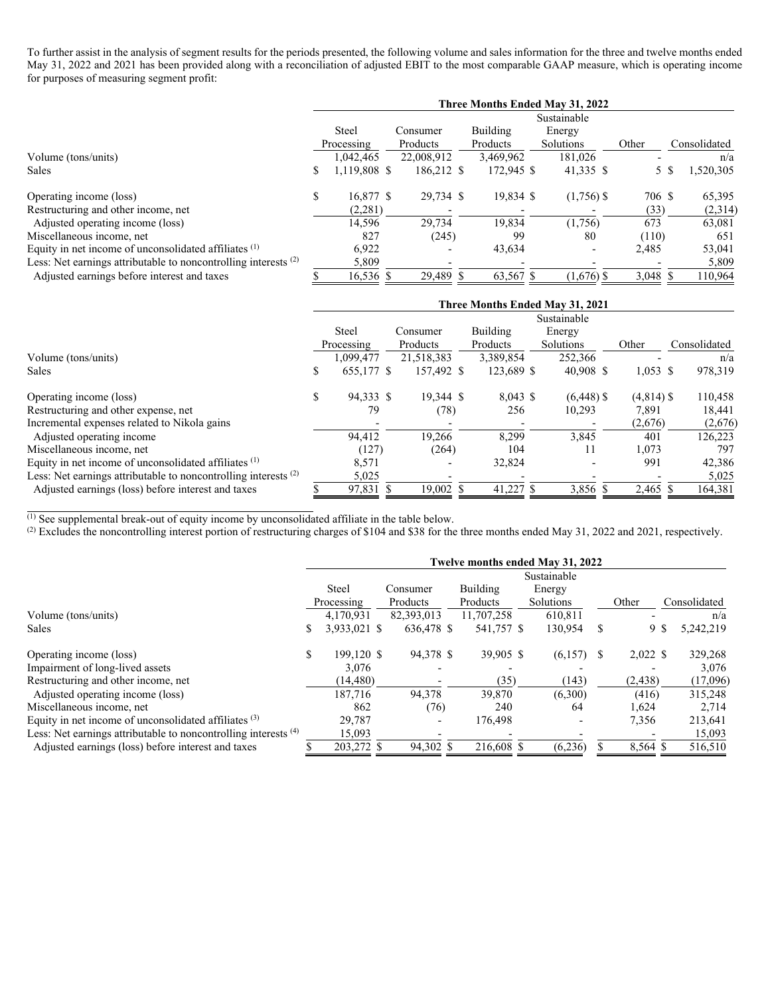To further assist in the analysis of segment results for the periods presented, the following volume and sales information for the three and twelve months ended May 31, 2022 and 2021 has been provided along with a reconciliation of adjusted EBIT to the most comparable GAAP measure, which is operating income for purposes of measuring segment profit:

|                                                                 | Three Months Ended May 31, 2022 |              |          |                          |  |            |              |          |              |          |  |  |
|-----------------------------------------------------------------|---------------------------------|--------------|----------|--------------------------|--|------------|--------------|----------|--------------|----------|--|--|
|                                                                 |                                 |              |          |                          |  |            | Sustainable  |          |              |          |  |  |
|                                                                 |                                 | Steel        |          | Consumer                 |  | Building   | Energy       |          |              |          |  |  |
|                                                                 |                                 | Processing   | Products |                          |  | Products   | Solutions    | Other    | Consolidated |          |  |  |
| Volume (tons/units)                                             |                                 | 1.042.465    |          | 22,008,912               |  | 3,469,962  | 181,026      |          |              | n/a      |  |  |
| <b>Sales</b>                                                    | \$                              | 1,119,808 \$ |          | 186,212 \$               |  | 172,945 \$ | 41,335 \$    | 5        |              | ,520,305 |  |  |
| Operating income (loss)                                         | \$                              | 16,877 \$    |          | 29,734 \$                |  | 19,834 \$  | $(1,756)$ \$ | 706 \$   |              | 65,395   |  |  |
| Restructuring and other income, net                             |                                 | (2,281)      |          |                          |  |            |              | (33)     |              | (2,314)  |  |  |
| Adjusted operating income (loss)                                |                                 | 14,596       |          | 29,734                   |  | 19,834     | (1,756)      | 673      |              | 63,081   |  |  |
| Miscellaneous income, net                                       |                                 | 827          |          | (245)                    |  | 99         | 80           | (110)    |              | 651      |  |  |
| Equity in net income of unconsolidated affiliates $(1)$         |                                 | 6,922        |          |                          |  | 43,634     |              | 2,485    |              | 53,041   |  |  |
| Less: Net earnings attributable to noncontrolling interests (2) |                                 | 5,809        |          | $\overline{\phantom{0}}$ |  |            |              |          |              | 5,809    |  |  |
| Adjusted earnings before interest and taxes                     |                                 | 16,536 \$    |          | 29,489 \$                |  | 63,567 \$  | $(1,676)$ \$ | 3,048 \$ |              | 110,964  |  |  |

|                                                                   | Three Months Ended May 31, 2021 |              |  |                          |  |            |           |              |  |              |  |              |
|-------------------------------------------------------------------|---------------------------------|--------------|--|--------------------------|--|------------|-----------|--------------|--|--------------|--|--------------|
|                                                                   |                                 |              |  |                          |  |            |           | Sustainable  |  |              |  |              |
|                                                                   |                                 | <b>Steel</b> |  | Consumer                 |  | Building   | Energy    |              |  |              |  |              |
|                                                                   |                                 | Processing   |  | Products                 |  | Products   | Solutions |              |  | Other        |  | Consolidated |
| Volume (tons/units)                                               |                                 | 1.099.477    |  | 21,518,383               |  | 3,389,854  |           | 252,366      |  |              |  | n/a          |
| Sales                                                             | S                               | 655,177 \$   |  | 157,492 \$               |  | 123,689 \$ |           | $40,908$ \$  |  | $1,053$ \$   |  | 978,319      |
| Operating income (loss)                                           | \$                              | 94,333 \$    |  | 19.344 \$                |  | $8,043$ \$ |           | $(6,448)$ \$ |  | $(4,814)$ \$ |  | 110,458      |
| Restructuring and other expense, net                              |                                 | 79           |  | (78)                     |  | 256        |           | 10,293       |  | 7,891        |  | 18,441       |
| Incremental expenses related to Nikola gains                      |                                 |              |  |                          |  |            |           |              |  | (2,676)      |  | (2,676)      |
| Adjusted operating income                                         |                                 | 94,412       |  | 19,266                   |  | 8,299      |           | 3,845        |  | 401          |  | 126,223      |
| Miscellaneous income, net                                         |                                 | (127)        |  | (264)                    |  | 104        |           | 11           |  | 1,073        |  | 797          |
| Equity in net income of unconsolidated affiliates (1)             |                                 | 8,571        |  | $\overline{\phantom{0}}$ |  | 32,824     |           | -            |  | 991          |  | 42,386       |
| Less: Net earnings attributable to noncontrolling interests $(2)$ |                                 | 5,025        |  | $\overline{\phantom{0}}$ |  |            |           |              |  |              |  | 5,025        |
| Adjusted earnings (loss) before interest and taxes                |                                 | 97,831 \$    |  | 19.002 \$                |  | 41,227 \$  |           | 3,856 \$     |  | 2,465 \$     |  | 164,381      |

 $<sup>(1)</sup>$  See supplemental break-out of equity income by unconsolidated affiliate in the table below.</sup>

(2) Excludes the noncontrolling interest portion of restructuring charges of \$104 and \$38 for the three months ended May 31, 2022 and 2021, respectively.

|                                                                   | Twelve months ended May 31, 2022 |              |            |  |            |             |  |                  |     |              |  |  |
|-------------------------------------------------------------------|----------------------------------|--------------|------------|--|------------|-------------|--|------------------|-----|--------------|--|--|
|                                                                   |                                  |              |            |  |            | Sustainable |  |                  |     |              |  |  |
|                                                                   |                                  | <b>Steel</b> | Consumer   |  |            | Energy      |  |                  |     |              |  |  |
|                                                                   |                                  | Processing   | Products   |  | Products   | Solutions   |  | Other            |     | Consolidated |  |  |
| Volume (tons/units)                                               |                                  | 4.170.931    | 82,393,013 |  | 11,707,258 | 610.811     |  |                  |     | n/a          |  |  |
| <b>Sales</b>                                                      |                                  | 3,933,021 \$ | 636,478 \$ |  | 541,757 \$ | 130,954     |  | S                | 9\$ | 5,242,219    |  |  |
| Operating income (loss)                                           | \$                               | 199.120 \$   | 94,378 \$  |  | 39,905 \$  | (6,157)     |  | $2,022$ \$<br>-S |     | 329,268      |  |  |
| Impairment of long-lived assets                                   |                                  | 3.076        |            |  |            |             |  |                  |     | 3,076        |  |  |
| Restructuring and other income, net                               |                                  | (14, 480)    |            |  | (35)       | (143)       |  | (2,438)          |     | (17,096)     |  |  |
| Adjusted operating income (loss)                                  |                                  | 187,716      | 94.378     |  | 39,870     | (6,300)     |  | (416)            |     | 315,248      |  |  |
| Miscellaneous income, net                                         |                                  | 862          | (76)       |  | 240        | 64          |  | 1,624            |     | 2,714        |  |  |
| Equity in net income of unconsolidated affiliates $(3)$           |                                  | 29.787       |            |  | 176,498    |             |  | 7,356            |     | 213,641      |  |  |
| Less: Net earnings attributable to noncontrolling interests $(4)$ |                                  | 15,093       |            |  |            |             |  |                  |     | 15,093       |  |  |
| Adjusted earnings (loss) before interest and taxes                |                                  | 203,272 \$   | 94,302 \$  |  | 216,608 \$ | (6,236)     |  | 8,564 \$         |     | 516,510      |  |  |